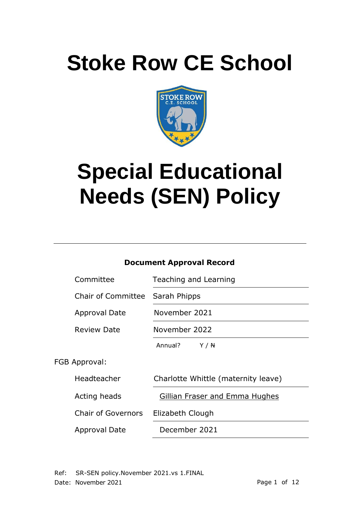# **Stoke Row CE School**



# **Special Educational Needs (SEN) Policy**

# **Document Approval Record**

| Committee                 | Teaching and Learning               |
|---------------------------|-------------------------------------|
| <b>Chair of Committee</b> | Sarah Phipps                        |
| Approval Date             | November 2021                       |
| <b>Review Date</b>        | November 2022                       |
|                           | Annual?<br>Y / N                    |
| FGB Approval:             |                                     |
| Headteacher               | Charlotte Whittle (maternity leave) |
| Acting heads              | Gillian Fraser and Emma Hughes      |
| <b>Chair of Governors</b> | Elizabeth Clough                    |
| Approval Date             | December 2021                       |

Ref: SR-SEN policy.November 2021.vs 1.FINAL Date: November 2021 **Page 1 of 12**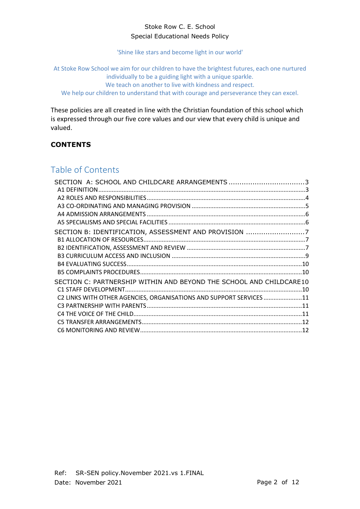#### Stoke Row C. E. School Special Educational Needs Policy

'Shine like stars and become light in our world'

At Stoke Row School we aim for our children to have the brightest futures, each one nurtured individually to be a guiding light with a unique sparkle. We teach on another to live with kindness and respect. We help our children to understand that with courage and perseverance they can excel.

These policies are all created in line with the Christian foundation of this school which is expressed through our five core values and our view that every child is unique and valued.

# **CONTENTS**

# Table of Contents

| SECTION A: SCHOOL AND CHILDCARE ARRANGEMENTS 3                      |  |
|---------------------------------------------------------------------|--|
|                                                                     |  |
|                                                                     |  |
|                                                                     |  |
|                                                                     |  |
|                                                                     |  |
| SECTION B: IDENTIFICATION, ASSESSMENT AND PROVISION 7               |  |
|                                                                     |  |
|                                                                     |  |
|                                                                     |  |
|                                                                     |  |
|                                                                     |  |
| SECTION C: PARTNERSHIP WITHIN AND BEYOND THE SCHOOL AND CHILDCARE10 |  |
|                                                                     |  |
| C2 LINKS WITH OTHER AGENCIES, ORGANISATIONS AND SUPPORT SERVICES 11 |  |
|                                                                     |  |
|                                                                     |  |
|                                                                     |  |
|                                                                     |  |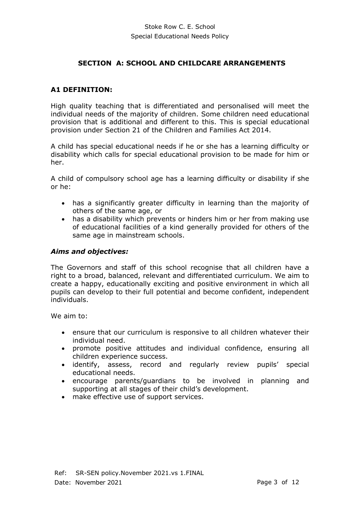#### **SECTION A: SCHOOL AND CHILDCARE ARRANGEMENTS**

#### <span id="page-2-1"></span><span id="page-2-0"></span>**A1 DEFINITION:**

High quality teaching that is differentiated and personalised will meet the individual needs of the majority of children. Some children need educational provision that is additional and different to this. This is special educational provision under Section 21 of the Children and Families Act 2014.

A child has special educational needs if he or she has a learning difficulty or disability which calls for special educational provision to be made for him or her.

A child of compulsory school age has a learning difficulty or disability if she or he:

- has a significantly greater difficulty in learning than the majority of others of the same age, or
- has a disability which prevents or hinders him or her from making use of educational facilities of a kind generally provided for others of the same age in mainstream schools.

#### *Aims and objectives:*

The Governors and staff of this school recognise that all children have a right to a broad, balanced, relevant and differentiated curriculum. We aim to create a happy, educationally exciting and positive environment in which all pupils can develop to their full potential and become confident, independent individuals.

We aim to:

- ensure that our curriculum is responsive to all children whatever their individual need.
- promote positive attitudes and individual confidence, ensuring all children experience success.
- identify, assess, record and regularly review pupils' special educational needs.
- encourage parents/guardians to be involved in planning and supporting at all stages of their child's development.
- make effective use of support services.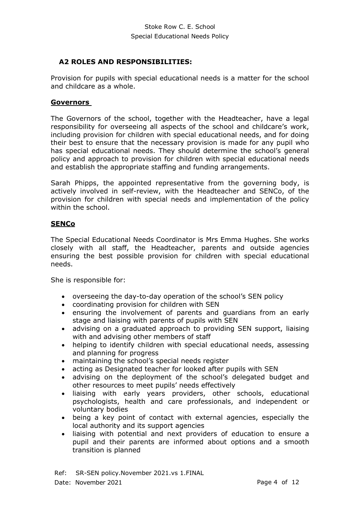# <span id="page-3-0"></span>**A2 ROLES AND RESPONSIBILITIES:**

Provision for pupils with special educational needs is a matter for the school and childcare as a whole.

#### **Governors**

The Governors of the school, together with the Headteacher, have a legal responsibility for overseeing all aspects of the school and childcare's work, including provision for children with special educational needs, and for doing their best to ensure that the necessary provision is made for any pupil who has special educational needs. They should determine the school's general policy and approach to provision for children with special educational needs and establish the appropriate staffing and funding arrangements.

Sarah Phipps, the appointed representative from the governing body, is actively involved in self-review, with the Headteacher and SENCo, of the provision for children with special needs and implementation of the policy within the school.

#### **SENCo**

The Special Educational Needs Coordinator is Mrs Emma Hughes. She works closely with all staff, the Headteacher, parents and outside agencies ensuring the best possible provision for children with special educational needs.

She is responsible for:

- overseeing the day-to-day operation of the school's SEN policy
- coordinating provision for children with SEN
- ensuring the involvement of parents and guardians from an early stage and liaising with parents of pupils with SEN
- advising on a graduated approach to providing SEN support, liaising with and advising other members of staff
- helping to identify children with special educational needs, assessing and planning for progress
- maintaining the school's special needs register
- acting as Designated teacher for looked after pupils with SEN
- advising on the deployment of the school's delegated budget and other resources to meet pupils' needs effectively
- liaising with early years providers, other schools, educational psychologists, health and care professionals, and independent or voluntary bodies
- being a key point of contact with external agencies, especially the local authority and its support agencies
- liaising with potential and next providers of education to ensure a pupil and their parents are informed about options and a smooth transition is planned

Ref: SR-SEN policy.November 2021.vs 1.FINAL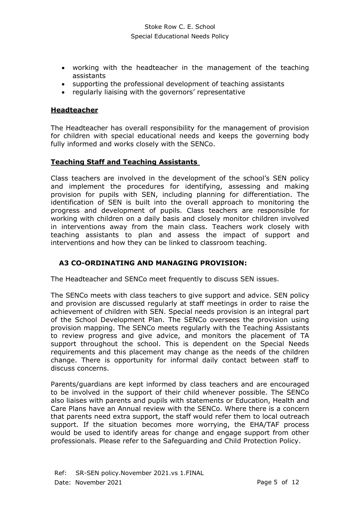- working with the headteacher in the management of the teaching assistants
- supporting the professional development of teaching assistants
- regularly liaising with the governors' representative

#### **Headteacher**

The Headteacher has overall responsibility for the management of provision for children with special educational needs and keeps the governing body fully informed and works closely with the SENCo.

#### **Teaching Staff and Teaching Assistants**

Class teachers are involved in the development of the school's SEN policy and implement the procedures for identifying, assessing and making provision for pupils with SEN, including planning for differentiation. The identification of SEN is built into the overall approach to monitoring the progress and development of pupils. Class teachers are responsible for working with children on a daily basis and closely monitor children involved in interventions away from the main class. Teachers work closely with teaching assistants to plan and assess the impact of support and interventions and how they can be linked to classroom teaching.

# <span id="page-4-0"></span>**A3 CO-ORDINATING AND MANAGING PROVISION:**

The Headteacher and SENCo meet frequently to discuss SEN issues.

The SENCo meets with class teachers to give support and advice. SEN policy and provision are discussed regularly at staff meetings in order to raise the achievement of children with SEN. Special needs provision is an integral part of the School Development Plan. The SENCo oversees the provision using provision mapping. The SENCo meets regularly with the Teaching Assistants to review progress and give advice, and monitors the placement of TA support throughout the school. This is dependent on the Special Needs requirements and this placement may change as the needs of the children change. There is opportunity for informal daily contact between staff to discuss concerns.

Parents/guardians are kept informed by class teachers and are encouraged to be involved in the support of their child whenever possible. The SENCo also liaises with parents and pupils with statements or Education, Health and Care Plans have an Annual review with the SENCo. Where there is a concern that parents need extra support, the staff would refer them to local outreach support. If the situation becomes more worrying, the EHA/TAF process would be used to identify areas for change and engage support from other professionals. Please refer to the Safeguarding and Child Protection Policy.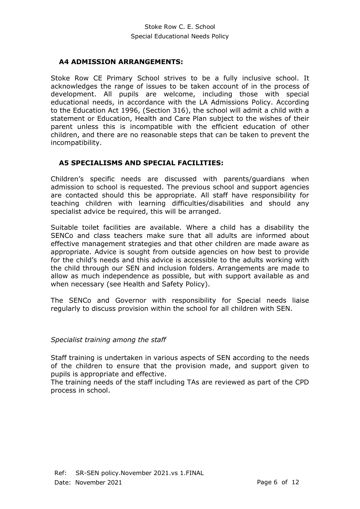#### <span id="page-5-0"></span>**A4 ADMISSION ARRANGEMENTS:**

Stoke Row CE Primary School strives to be a fully inclusive school. It acknowledges the range of issues to be taken account of in the process of development. All pupils are welcome, including those with special educational needs, in accordance with the LA Admissions Policy. According to the Education Act 1996, (Section 316), the school will admit a child with a statement or Education, Health and Care Plan subject to the wishes of their parent unless this is incompatible with the efficient education of other children, and there are no reasonable steps that can be taken to prevent the incompatibility.

#### <span id="page-5-1"></span>**A5 SPECIALISMS AND SPECIAL FACILITIES:**

Children's specific needs are discussed with parents/guardians when admission to school is requested. The previous school and support agencies are contacted should this be appropriate. All staff have responsibility for teaching children with learning difficulties/disabilities and should any specialist advice be required, this will be arranged.

Suitable toilet facilities are available. Where a child has a disability the SENCo and class teachers make sure that all adults are informed about effective management strategies and that other children are made aware as appropriate. Advice is sought from outside agencies on how best to provide for the child's needs and this advice is accessible to the adults working with the child through our SEN and inclusion folders. Arrangements are made to allow as much independence as possible, but with support available as and when necessary (see Health and Safety Policy).

The SENCo and Governor with responsibility for Special needs liaise regularly to discuss provision within the school for all children with SEN.

#### *Specialist training among the staff*

Staff training is undertaken in various aspects of SEN according to the needs of the children to ensure that the provision made, and support given to pupils is appropriate and effective.

The training needs of the staff including TAs are reviewed as part of the CPD process in school.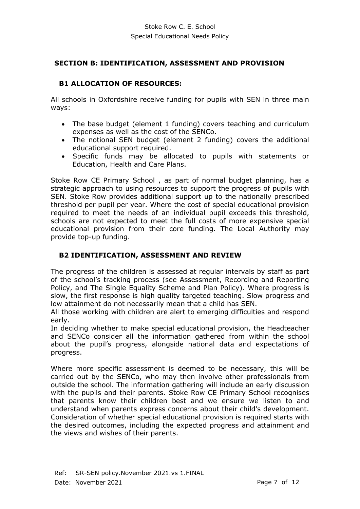#### <span id="page-6-0"></span>**SECTION B: IDENTIFICATION, ASSESSMENT AND PROVISION**

# <span id="page-6-1"></span>**B1 ALLOCATION OF RESOURCES:**

All schools in Oxfordshire receive funding for pupils with SEN in three main ways:

- The base budget (element 1 funding) covers teaching and curriculum expenses as well as the cost of the SENCo.
- The notional SEN budget (element 2 funding) covers the additional educational support required.
- Specific funds may be allocated to pupils with statements or Education, Health and Care Plans.

Stoke Row CE Primary School , as part of normal budget planning, has a strategic approach to using resources to support the progress of pupils with SEN. Stoke Row provides additional support up to the nationally prescribed threshold per pupil per year. Where the cost of special educational provision required to meet the needs of an individual pupil exceeds this threshold, schools are not expected to meet the full costs of more expensive special educational provision from their core funding. The Local Authority may provide top-up funding.

# <span id="page-6-2"></span>**B2 IDENTIFICATION, ASSESSMENT AND REVIEW**

The progress of the children is assessed at regular intervals by staff as part of the school's tracking process (see Assessment, Recording and Reporting Policy, and The Single Equality Scheme and Plan Policy). Where progress is slow, the first response is high quality targeted teaching. Slow progress and low attainment do not necessarily mean that a child has SEN.

All those working with children are alert to emerging difficulties and respond early.

In deciding whether to make special educational provision, the Headteacher and SENCo consider all the information gathered from within the school about the pupil's progress, alongside national data and expectations of progress.

Where more specific assessment is deemed to be necessary, this will be carried out by the SENCo, who may then involve other professionals from outside the school. The information gathering will include an early discussion with the pupils and their parents. Stoke Row CE Primary School recognises that parents know their children best and we ensure we listen to and understand when parents express concerns about their child's development. Consideration of whether special educational provision is required starts with the desired outcomes, including the expected progress and attainment and the views and wishes of their parents.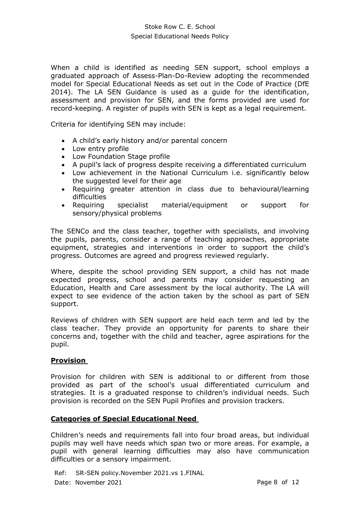#### Stoke Row C. E. School Special Educational Needs Policy

When a child is identified as needing SEN support, school employs a graduated approach of Assess-Plan-Do-Review adopting the recommended model for Special Educational Needs as set out in the Code of Practice (DfE 2014). The LA SEN Guidance is used as a guide for the identification, assessment and provision for SEN, and the forms provided are used for record-keeping. A register of pupils with SEN is kept as a legal requirement.

Criteria for identifying SEN may include:

- A child's early history and/or parental concern
- Low entry profile
- Low Foundation Stage profile
- A pupil's lack of progress despite receiving a differentiated curriculum
- Low achievement in the National Curriculum i.e. significantly below the suggested level for their age
- Requiring greater attention in class due to behavioural/learning difficulties
- Requiring specialist material/equipment or support for sensory/physical problems

The SENCo and the class teacher, together with specialists, and involving the pupils, parents, consider a range of teaching approaches, appropriate equipment, strategies and interventions in order to support the child's progress. Outcomes are agreed and progress reviewed regularly.

Where, despite the school providing SEN support, a child has not made expected progress, school and parents may consider requesting an Education, Health and Care assessment by the local authority. The LA will expect to see evidence of the action taken by the school as part of SEN support.

Reviews of children with SEN support are held each term and led by the class teacher. They provide an opportunity for parents to share their concerns and, together with the child and teacher, agree aspirations for the pupil.

#### **Provision**

Provision for children with SEN is additional to or different from those provided as part of the school's usual differentiated curriculum and strategies. It is a graduated response to children's individual needs. Such provision is recorded on the SEN Pupil Profiles and provision trackers.

#### **Categories of Special Educational Need**

Children's needs and requirements fall into four broad areas, but individual pupils may well have needs which span two or more areas. For example, a pupil with general learning difficulties may also have communication difficulties or a sensory impairment.

Ref: SR-SEN policy.November 2021.vs 1.FINAL Date: November 2021 **Page 8 of 12**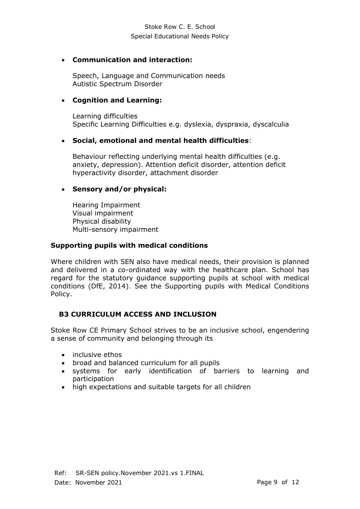# • **Communication and interaction:**

Speech, Language and Communication needs Autistic Spectrum Disorder

# • **Cognition and Learning:**

Learning difficulties Specific Learning Difficulties e.g. dyslexia, dyspraxia, dyscalculia

# • **Social, emotional and mental health difficulties**:

Behaviour reflecting underlying mental health difficulties (e.g. anxiety, depression). Attention deficit disorder, attention deficit hyperactivity disorder, attachment disorder

#### • **Sensory and/or physical:**

Hearing Impairment Visual impairment Physical disability Multi-sensory impairment

#### **Supporting pupils with medical conditions**

Where children with SEN also have medical needs, their provision is planned and delivered in a co-ordinated way with the healthcare plan. School has regard for the statutory guidance supporting pupils at school with medical conditions (DfE, 2014). See the Supporting pupils with Medical Conditions Policy.

# <span id="page-8-0"></span>**B3 CURRICULUM ACCESS AND INCLUSION**

Stoke Row CE Primary School strives to be an inclusive school, engendering a sense of community and belonging through its

- inclusive ethos
- broad and balanced curriculum for all pupils
- systems for early identification of barriers to learning and participation
- high expectations and suitable targets for all children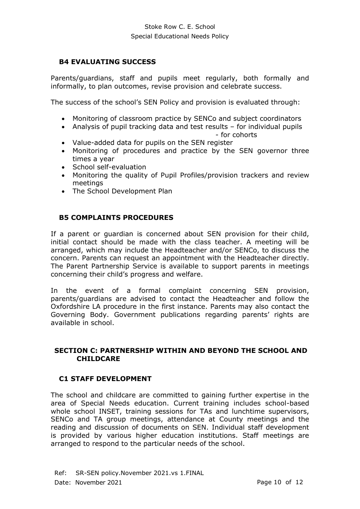### <span id="page-9-0"></span>**B4 EVALUATING SUCCESS**

Parents/guardians, staff and pupils meet regularly, both formally and informally, to plan outcomes, revise provision and celebrate success.

The success of the school's SEN Policy and provision is evaluated through:

- Monitoring of classroom practice by SENCo and subject coordinators
- Analysis of pupil tracking data and test results for individual pupils
	- for cohorts
- Value-added data for pupils on the SEN register
- Monitoring of procedures and practice by the SEN governor three times a year
- School self-evaluation
- Monitoring the quality of Pupil Profiles/provision trackers and review meetings
- The School Development Plan

#### <span id="page-9-1"></span>**B5 COMPLAINTS PROCEDURES**

If a parent or guardian is concerned about SEN provision for their child, initial contact should be made with the class teacher. A meeting will be arranged, which may include the Headteacher and/or SENCo, to discuss the concern. Parents can request an appointment with the Headteacher directly. The Parent Partnership Service is available to support parents in meetings concerning their child's progress and welfare.

In the event of a formal complaint concerning SEN provision, parents/guardians are advised to contact the Headteacher and follow the Oxfordshire LA procedure in the first instance. Parents may also contact the Governing Body. Government publications regarding parents' rights are available in school.

#### <span id="page-9-2"></span>**SECTION C: PARTNERSHIP WITHIN AND BEYOND THE SCHOOL AND CHILDCARE**

#### <span id="page-9-3"></span>**C1 STAFF DEVELOPMENT**

The school and childcare are committed to gaining further expertise in the area of Special Needs education. Current training includes school-based whole school INSET, training sessions for TAs and lunchtime supervisors, SENCo and TA group meetings, attendance at County meetings and the reading and discussion of documents on SEN. Individual staff development is provided by various higher education institutions. Staff meetings are arranged to respond to the particular needs of the school.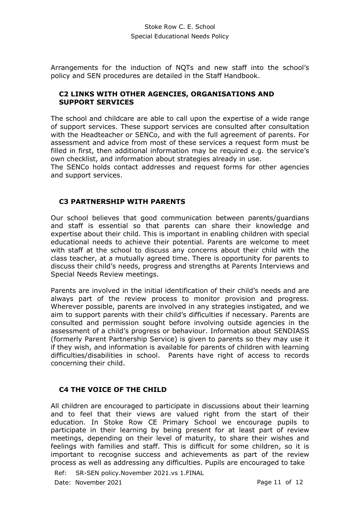Arrangements for the induction of NQTs and new staff into the school's policy and SEN procedures are detailed in the Staff Handbook.

#### <span id="page-10-0"></span>**C2 LINKS WITH OTHER AGENCIES, ORGANISATIONS AND SUPPORT SERVICES**

The school and childcare are able to call upon the expertise of a wide range of support services. These support services are consulted after consultation with the Headteacher or SENCo, and with the full agreement of parents. For assessment and advice from most of these services a request form must be filled in first, then additional information may be required e.g. the service's own checklist, and information about strategies already in use.

The SENCo holds contact addresses and request forms for other agencies and support services.

#### <span id="page-10-1"></span>**C3 PARTNERSHIP WITH PARENTS**

Our school believes that good communication between parents/guardians and staff is essential so that parents can share their knowledge and expertise about their child. This is important in enabling children with special educational needs to achieve their potential. Parents are welcome to meet with staff at the school to discuss any concerns about their child with the class teacher, at a mutually agreed time. There is opportunity for parents to discuss their child's needs, progress and strengths at Parents Interviews and Special Needs Review meetings.

Parents are involved in the initial identification of their child's needs and are always part of the review process to monitor provision and progress. Wherever possible, parents are involved in any strategies instigated, and we aim to support parents with their child's difficulties if necessary. Parents are consulted and permission sought before involving outside agencies in the assessment of a child's progress or behaviour. Information about SENDIASS (formerly Parent Partnership Service) is given to parents so they may use it if they wish, and information is available for parents of children with learning difficulties/disabilities in school. Parents have right of access to records concerning their child.

# <span id="page-10-2"></span>**C4 THE VOICE OF THE CHILD**

All children are encouraged to participate in discussions about their learning and to feel that their views are valued right from the start of their education. In Stoke Row CE Primary School we encourage pupils to participate in their learning by being present for at least part of review meetings, depending on their level of maturity, to share their wishes and feelings with families and staff. This is difficult for some children, so it is important to recognise success and achievements as part of the review process as well as addressing any difficulties. Pupils are encouraged to take

Ref: SR-SEN policy.November 2021.vs 1.FINAL Date: November 2021 **Page 11 of 12**